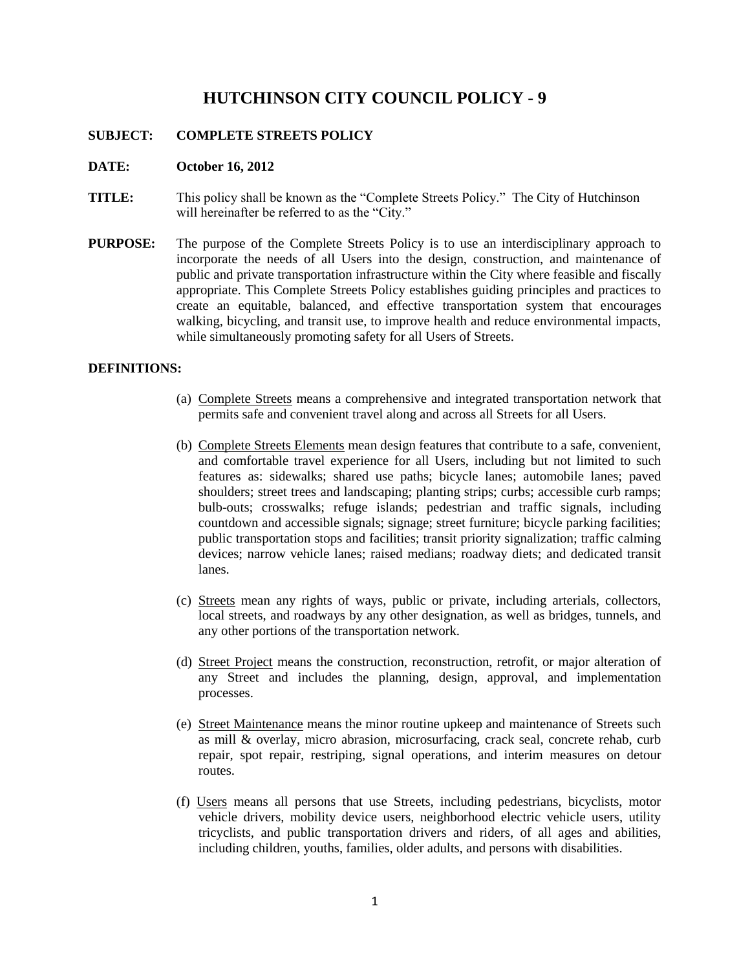# **HUTCHINSON CITY COUNCIL POLICY - 9**

## **SUBJECT: COMPLETE STREETS POLICY**

### **DATE: October 16, 2012**

- **TITLE:** This policy shall be known as the "Complete Streets Policy." The City of Hutchinson will hereinafter be referred to as the "City."
- **PURPOSE:** The purpose of the Complete Streets Policy is to use an interdisciplinary approach to incorporate the needs of all Users into the design, construction, and maintenance of public and private transportation infrastructure within the City where feasible and fiscally appropriate. This Complete Streets Policy establishes guiding principles and practices to create an equitable, balanced, and effective transportation system that encourages walking, bicycling, and transit use, to improve health and reduce environmental impacts, while simultaneously promoting safety for all Users of Streets.

### **DEFINITIONS:**

- (a) Complete Streets means a comprehensive and integrated transportation network that permits safe and convenient travel along and across all Streets for all Users.
- (b) Complete Streets Elements mean design features that contribute to a safe, convenient, and comfortable travel experience for all Users, including but not limited to such features as: sidewalks; shared use paths; bicycle lanes; automobile lanes; paved shoulders; street trees and landscaping; planting strips; curbs; accessible curb ramps; bulb-outs; crosswalks; refuge islands; pedestrian and traffic signals, including countdown and accessible signals; signage; street furniture; bicycle parking facilities; public transportation stops and facilities; transit priority signalization; traffic calming devices; narrow vehicle lanes; raised medians; roadway diets; and dedicated transit lanes.
- (c) Streets mean any rights of ways, public or private, including arterials, collectors, local streets, and roadways by any other designation, as well as bridges, tunnels, and any other portions of the transportation network.
- (d) Street Project means the construction, reconstruction, retrofit, or major alteration of any Street and includes the planning, design, approval, and implementation processes.
- (e) Street Maintenance means the minor routine upkeep and maintenance of Streets such as mill & overlay, micro abrasion, microsurfacing, crack seal, concrete rehab, curb repair, spot repair, restriping, signal operations, and interim measures on detour routes.
- (f) Users means all persons that use Streets, including pedestrians, bicyclists, motor vehicle drivers, mobility device users, neighborhood electric vehicle users, utility tricyclists, and public transportation drivers and riders, of all ages and abilities, including children, youths, families, older adults, and persons with disabilities.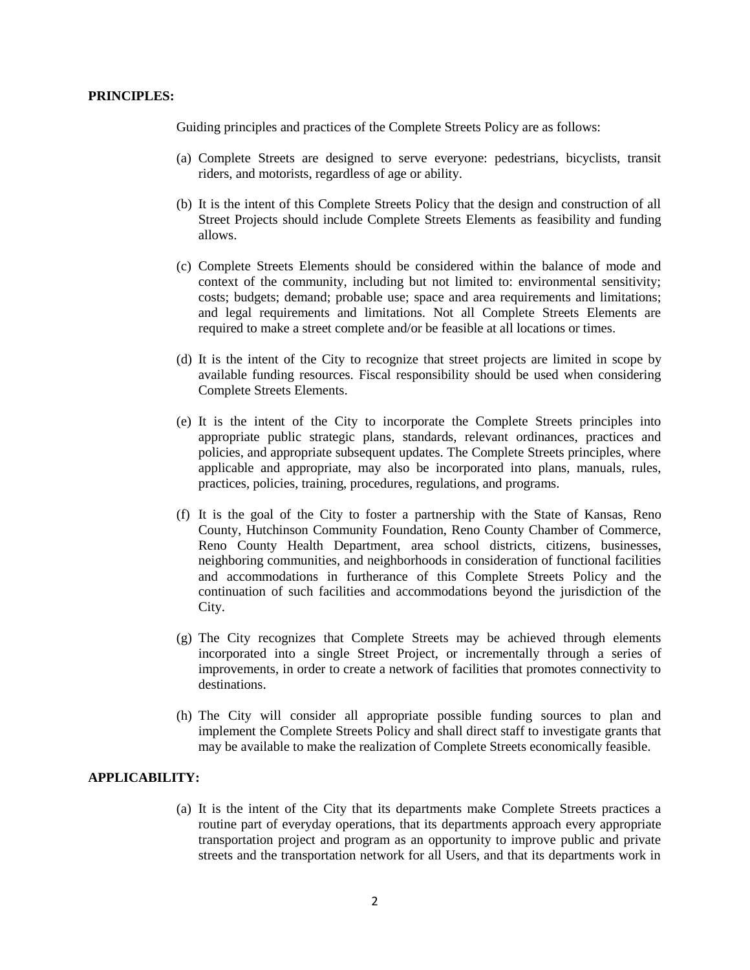#### **PRINCIPLES:**

Guiding principles and practices of the Complete Streets Policy are as follows:

- (a) Complete Streets are designed to serve everyone: pedestrians, bicyclists, transit riders, and motorists, regardless of age or ability.
- (b) It is the intent of this Complete Streets Policy that the design and construction of all Street Projects should include Complete Streets Elements as feasibility and funding allows.
- (c) Complete Streets Elements should be considered within the balance of mode and context of the community, including but not limited to: environmental sensitivity; costs; budgets; demand; probable use; space and area requirements and limitations; and legal requirements and limitations. Not all Complete Streets Elements are required to make a street complete and/or be feasible at all locations or times.
- (d) It is the intent of the City to recognize that street projects are limited in scope by available funding resources. Fiscal responsibility should be used when considering Complete Streets Elements.
- (e) It is the intent of the City to incorporate the Complete Streets principles into appropriate public strategic plans, standards, relevant ordinances, practices and policies, and appropriate subsequent updates. The Complete Streets principles, where applicable and appropriate, may also be incorporated into plans, manuals, rules, practices, policies, training, procedures, regulations, and programs.
- (f) It is the goal of the City to foster a partnership with the State of Kansas, Reno County, Hutchinson Community Foundation, Reno County Chamber of Commerce, Reno County Health Department, area school districts, citizens, businesses, neighboring communities, and neighborhoods in consideration of functional facilities and accommodations in furtherance of this Complete Streets Policy and the continuation of such facilities and accommodations beyond the jurisdiction of the City.
- (g) The City recognizes that Complete Streets may be achieved through elements incorporated into a single Street Project, or incrementally through a series of improvements, in order to create a network of facilities that promotes connectivity to destinations.
- (h) The City will consider all appropriate possible funding sources to plan and implement the Complete Streets Policy and shall direct staff to investigate grants that may be available to make the realization of Complete Streets economically feasible.

# **APPLICABILITY:**

(a) It is the intent of the City that its departments make Complete Streets practices a routine part of everyday operations, that its departments approach every appropriate transportation project and program as an opportunity to improve public and private streets and the transportation network for all Users, and that its departments work in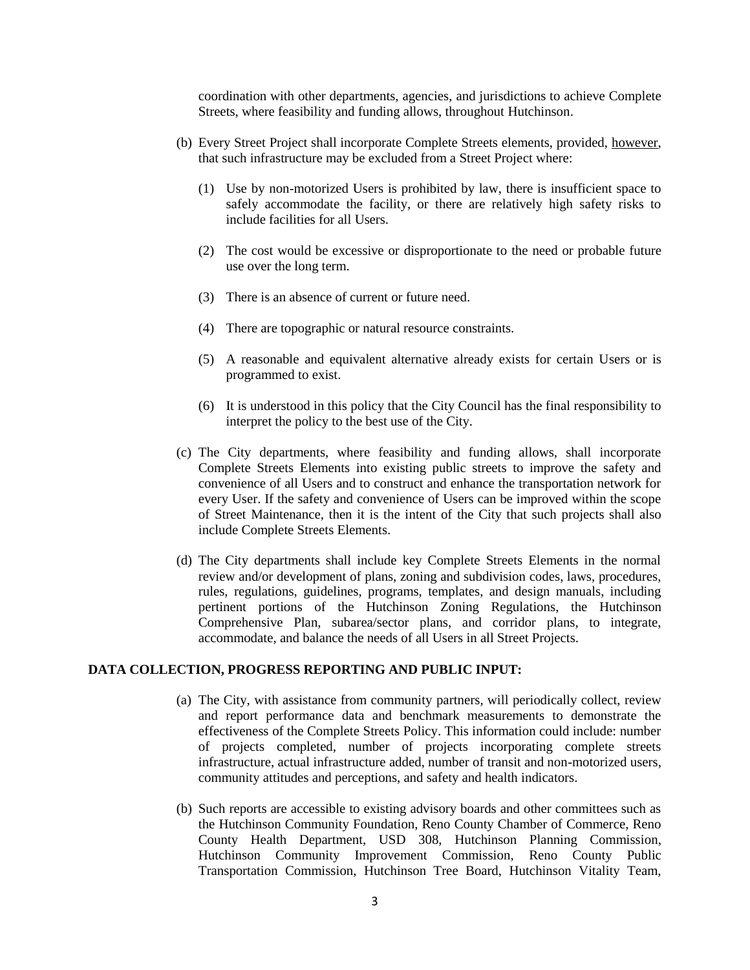coordination with other departments, agencies, and jurisdictions to achieve Complete Streets, where feasibility and funding allows, throughout Hutchinson.

- (b) Every Street Project shall incorporate Complete Streets elements, provided, however, that such infrastructure may be excluded from a Street Project where:
	- (1) Use by non-motorized Users is prohibited by law, there is insufficient space to safely accommodate the facility, or there are relatively high safety risks to include facilities for all Users.
	- (2) The cost would be excessive or disproportionate to the need or probable future use over the long term.
	- (3) There is an absence of current or future need.
	- (4) There are topographic or natural resource constraints.
	- (5) A reasonable and equivalent alternative already exists for certain Users or is programmed to exist.
	- (6) It is understood in this policy that the City Council has the final responsibility to interpret the policy to the best use of the City.
- (c) The City departments, where feasibility and funding allows, shall incorporate Complete Streets Elements into existing public streets to improve the safety and convenience of all Users and to construct and enhance the transportation network for every User. If the safety and convenience of Users can be improved within the scope of Street Maintenance, then it is the intent of the City that such projects shall also include Complete Streets Elements.
- (d) The City departments shall include key Complete Streets Elements in the normal review and/or development of plans, zoning and subdivision codes, laws, procedures, rules, regulations, guidelines, programs, templates, and design manuals, including pertinent portions of the Hutchinson Zoning Regulations, the Hutchinson Comprehensive Plan, subarea/sector plans, and corridor plans, to integrate, accommodate, and balance the needs of all Users in all Street Projects.

### **DATA COLLECTION, PROGRESS REPORTING AND PUBLIC INPUT:**

- (a) The City, with assistance from community partners, will periodically collect, review and report performance data and benchmark measurements to demonstrate the effectiveness of the Complete Streets Policy. This information could include: number of projects completed, number of projects incorporating complete streets infrastructure, actual infrastructure added, number of transit and non-motorized users, community attitudes and perceptions, and safety and health indicators.
- (b) Such reports are accessible to existing advisory boards and other committees such as the Hutchinson Community Foundation, Reno County Chamber of Commerce, Reno County Health Department, USD 308, Hutchinson Planning Commission, Hutchinson Community Improvement Commission, Reno County Public Transportation Commission, Hutchinson Tree Board, Hutchinson Vitality Team,